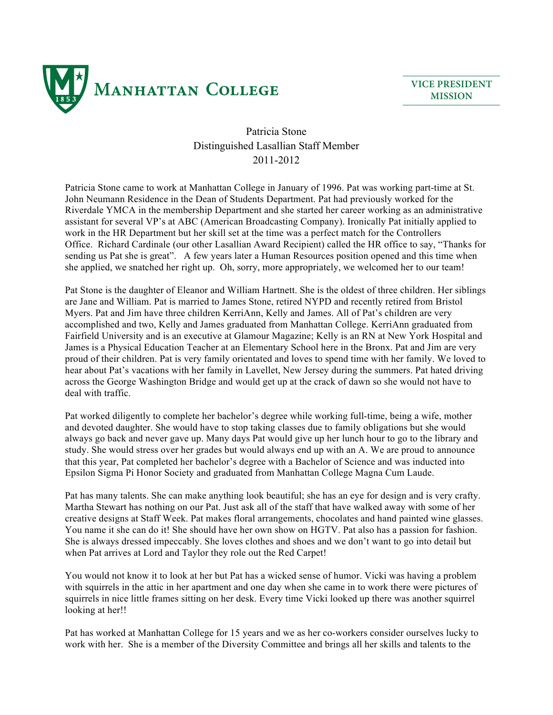

**VICE PRESIDENT MISSION**

## Patricia Stone Distinguished Lasallian Staff Member 2011-2012

Patricia Stone came to work at Manhattan College in January of 1996. Pat was working part-time at St. John Neumann Residence in the Dean of Students Department. Pat had previously worked for the Riverdale YMCA in the membership Department and she started her career working as an administrative assistant for several VP's at ABC (American Broadcasting Company). Ironically Pat initially applied to work in the HR Department but her skill set at the time was a perfect match for the Controllers Office. Richard Cardinale (our other Lasallian Award Recipient) called the HR office to say, "Thanks for sending us Pat she is great". A few years later a Human Resources position opened and this time when she applied, we snatched her right up. Oh, sorry, more appropriately, we welcomed her to our team!

Pat Stone is the daughter of Eleanor and William Hartnett. She is the oldest of three children. Her siblings are Jane and William. Pat is married to James Stone, retired NYPD and recently retired from Bristol Myers. Pat and Jim have three children KerriAnn, Kelly and James. All of Pat's children are very accomplished and two, Kelly and James graduated from Manhattan College. KerriAnn graduated from Fairfield University and is an executive at Glamour Magazine; Kelly is an RN at New York Hospital and James is a Physical Education Teacher at an Elementary School here in the Bronx. Pat and Jim are very proud of their children. Pat is very family orientated and loves to spend time with her family. We loved to hear about Pat's vacations with her family in Lavellet, New Jersey during the summers. Pat hated driving across the George Washington Bridge and would get up at the crack of dawn so she would not have to deal with traffic.

Pat worked diligently to complete her bachelor's degree while working full-time, being a wife, mother and devoted daughter. She would have to stop taking classes due to family obligations but she would always go back and never gave up. Many days Pat would give up her lunch hour to go to the library and study. She would stress over her grades but would always end up with an A. We are proud to announce that this year, Pat completed her bachelor's degree with a Bachelor of Science and was inducted into Epsilon Sigma Pi Honor Society and graduated from Manhattan College Magna Cum Laude.

Pat has many talents. She can make anything look beautiful; she has an eye for design and is very crafty. Martha Stewart has nothing on our Pat. Just ask all of the staff that have walked away with some of her creative designs at Staff Week. Pat makes floral arrangements, chocolates and hand painted wine glasses. You name it she can do it! She should have her own show on HGTV. Pat also has a passion for fashion. She is always dressed impeccably. She loves clothes and shoes and we don't want to go into detail but when Pat arrives at Lord and Taylor they role out the Red Carpet!

You would not know it to look at her but Pat has a wicked sense of humor. Vicki was having a problem with squirrels in the attic in her apartment and one day when she came in to work there were pictures of squirrels in nice little frames sitting on her desk. Every time Vicki looked up there was another squirrel looking at her!!

Pat has worked at Manhattan College for 15 years and we as her co-workers consider ourselves lucky to work with her. She is a member of the Diversity Committee and brings all her skills and talents to the